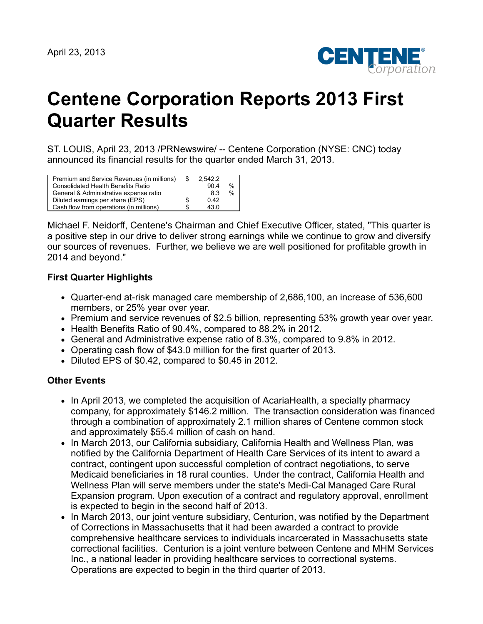

# **Centene Corporation Reports 2013 First Quarter Results**

ST. LOUIS, April 23, 2013 /PRNewswire/ -- Centene Corporation (NYSE: CNC) today announced its financial results for the quarter ended March 31, 2013.

| Premium and Service Revenues (in millions) | \$ | 2.542.2 |      |
|--------------------------------------------|----|---------|------|
| <b>Consolidated Health Benefits Ratio</b>  |    | 904     | $\%$ |
| General & Administrative expense ratio     |    | 83      | $\%$ |
| Diluted earnings per share (EPS)           | S  | 0.42    |      |
| Cash flow from operations (in millions)    | £. | 43.0    |      |

Michael F. Neidorff, Centene's Chairman and Chief Executive Officer, stated, "This quarter is a positive step in our drive to deliver strong earnings while we continue to grow and diversify our sources of revenues. Further, we believe we are well positioned for profitable growth in 2014 and beyond."

# **First Quarter Highlights**

- Quarter-end at-risk managed care membership of 2,686,100, an increase of 536,600 members, or 25% year over year.
- Premium and service revenues of \$2.5 billion, representing 53% growth year over year.
- Health Benefits Ratio of 90.4%, compared to 88.2% in 2012.
- General and Administrative expense ratio of 8.3%, compared to 9.8% in 2012.
- Operating cash flow of \$43.0 million for the first quarter of 2013.
- Diluted EPS of \$0.42, compared to \$0.45 in 2012.

# **Other Events**

- In April 2013, we completed the acquisition of AcariaHealth, a specialty pharmacy company, for approximately \$146.2 million. The transaction consideration was financed through a combination of approximately 2.1 million shares of Centene common stock and approximately \$55.4 million of cash on hand.
- In March 2013, our California subsidiary, California Health and Wellness Plan, was notified by the California Department of Health Care Services of its intent to award a contract, contingent upon successful completion of contract negotiations, to serve Medicaid beneficiaries in 18 rural counties. Under the contract, California Health and Wellness Plan will serve members under the state's Medi-Cal Managed Care Rural Expansion program. Upon execution of a contract and regulatory approval, enrollment is expected to begin in the second half of 2013.
- In March 2013, our joint venture subsidiary, Centurion, was notified by the Department of Corrections in Massachusetts that it had been awarded a contract to provide comprehensive healthcare services to individuals incarcerated in Massachusetts state correctional facilities. Centurion is a joint venture between Centene and MHM Services Inc., a national leader in providing healthcare services to correctional systems. Operations are expected to begin in the third quarter of 2013.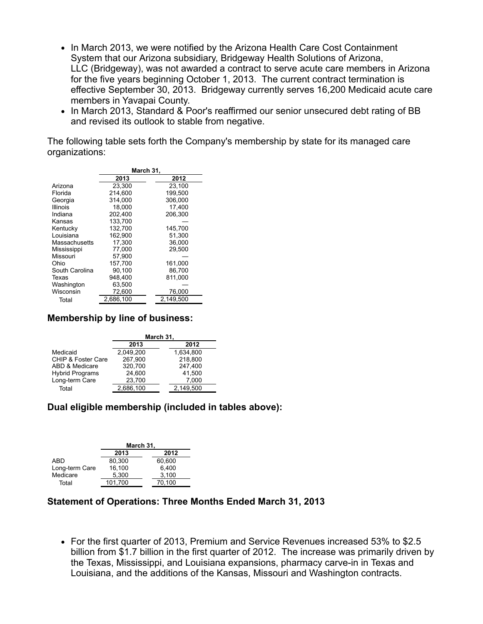- In March 2013, we were notified by the Arizona Health Care Cost Containment System that our Arizona subsidiary, Bridgeway Health Solutions of Arizona, LLC (Bridgeway), was not awarded a contract to serve acute care members in Arizona for the five years beginning October 1, 2013. The current contract termination is effective September 30, 2013. Bridgeway currently serves 16,200 Medicaid acute care members in Yavapai County.
- In March 2013, Standard & Poor's reaffirmed our senior unsecured debt rating of BB and revised its outlook to stable from negative.

The following table sets forth the Company's membership by state for its managed care organizations:

|                |           | March 31, |
|----------------|-----------|-----------|
|                | 2013      | 2012      |
| Arizona        | 23,300    | 23.100    |
| Florida        | 214.600   | 199.500   |
| Georgia        | 314.000   | 306.000   |
| Illinois       | 18.000    | 17.400    |
| Indiana        | 202,400   | 206.300   |
| Kansas         | 133,700   |           |
| Kentucky       | 132.700   | 145,700   |
| Louisiana      | 162.900   | 51.300    |
| Massachusetts  | 17.300    | 36,000    |
| Mississippi    | 77,000    | 29,500    |
| Missouri       | 57,900    |           |
| Ohio           | 157.700   | 161,000   |
| South Carolina | 90.100    | 86.700    |
| Texas          | 948.400   | 811.000   |
| Washington     | 63,500    |           |
| Wisconsin      | 72,600    | 76,000    |
| Total          | 2,686,100 | 2,149,500 |
|                |           |           |

## **Membership by line of business:**

|                               | March 31, |           |  |  |  |
|-------------------------------|-----------|-----------|--|--|--|
|                               | 2013      | 2012      |  |  |  |
| Medicaid                      | 2,049,200 | 1,634,800 |  |  |  |
| <b>CHIP &amp; Foster Care</b> | 267,900   | 218,800   |  |  |  |
| ABD & Medicare                | 320,700   | 247,400   |  |  |  |
| <b>Hybrid Programs</b>        | 24,600    | 41,500    |  |  |  |
| Long-term Care                | 23,700    | 7,000     |  |  |  |
| Total                         | 2,686,100 | 2.149.500 |  |  |  |

# **Dual eligible membership (included in tables above):**

|                | March 31, |        |  |  |  |
|----------------|-----------|--------|--|--|--|
|                | 2013      |        |  |  |  |
| ABD            | 80.300    | 60.600 |  |  |  |
| Long-term Care | 16,100    | 6.400  |  |  |  |
| Medicare       | 5.300     | 3,100  |  |  |  |
| Total          | 101.700   | 70.100 |  |  |  |

## **Statement of Operations: Three Months Ended March 31, 2013**

For the first quarter of 2013, Premium and Service Revenues increased 53% to \$2.5 billion from \$1.7 billion in the first quarter of 2012. The increase was primarily driven by the Texas, Mississippi, and Louisiana expansions, pharmacy carve-in in Texas and Louisiana, and the additions of the Kansas, Missouri and Washington contracts.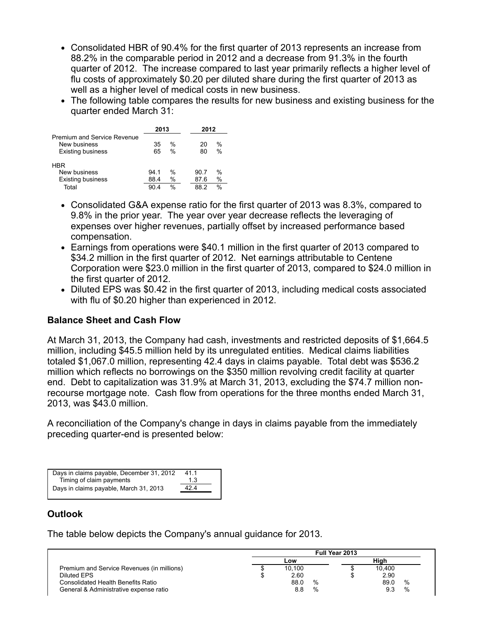- Consolidated HBR of 90.4% for the first quarter of 2013 represents an increase from 88.2% in the comparable period in 2012 and a decrease from 91.3% in the fourth quarter of 2012. The increase compared to last year primarily reflects a higher level of flu costs of approximately \$0.20 per diluted share during the first quarter of 2013 as well as a higher level of medical costs in new business.
- The following table compares the results for new business and existing business for the quarter ended March 31:

|                             | 2013 |               | 2012                |  |
|-----------------------------|------|---------------|---------------------|--|
| Premium and Service Revenue |      |               |                     |  |
| New business                | 35   | $\frac{0}{0}$ | $\%$<br>20          |  |
| <b>Existing business</b>    | 65   | $\frac{0}{0}$ | $\frac{0}{0}$<br>80 |  |
| <b>HBR</b>                  |      |               |                     |  |
| New business                | 94 1 | %             | $\%$<br>90.7        |  |
| <b>Existing business</b>    | 88.4 | $\%$          | $\%$<br>87.6        |  |
| Total                       | 90.4 | $\frac{0}{0}$ | $\%$<br>88.2        |  |

- Consolidated G&A expense ratio for the first quarter of 2013 was 8.3%, compared to 9.8% in the prior year. The year over year decrease reflects the leveraging of expenses over higher revenues, partially offset by increased performance based compensation.
- Earnings from operations were \$40.1 million in the first quarter of 2013 compared to \$34.2 million in the first quarter of 2012. Net earnings attributable to Centene Corporation were \$23.0 million in the first quarter of 2013, compared to \$24.0 million in the first quarter of 2012.
- Diluted EPS was \$0.42 in the first quarter of 2013, including medical costs associated with flu of \$0.20 higher than experienced in 2012.

# **Balance Sheet and Cash Flow**

At March 31, 2013, the Company had cash, investments and restricted deposits of \$1,664.5 million, including \$45.5 million held by its unregulated entities. Medical claims liabilities totaled \$1,067.0 million, representing 42.4 days in claims payable. Total debt was \$536.2 million which reflects no borrowings on the \$350 million revolving credit facility at quarter end. Debt to capitalization was 31.9% at March 31, 2013, excluding the \$74.7 million nonrecourse mortgage note. Cash flow from operations for the three months ended March 31, 2013, was \$43.0 million.

A reconciliation of the Company's change in days in claims payable from the immediately preceding quarter-end is presented below:

| Days in claims payable, December 31, 2012 | 41.1 |
|-------------------------------------------|------|
| Timing of claim payments                  | 1.3  |
| Days in claims payable, March 31, 2013    | 424  |
|                                           |      |

# **Outlook**

The table below depicts the Company's annual guidance for 2013.

|                                            |        |   | Full Year 2013 |        |   |
|--------------------------------------------|--------|---|----------------|--------|---|
|                                            | Low    |   |                | Hiah   |   |
| Premium and Service Revenues (in millions) | 10.100 |   |                | 10,400 |   |
| Diluted EPS                                | 2.60   |   |                | 2.90   |   |
| Consolidated Health Benefits Ratio         | 88.0   | % |                | 89.0   | % |
| General & Administrative expense ratio     | 8.8    | % |                | 9.3    | % |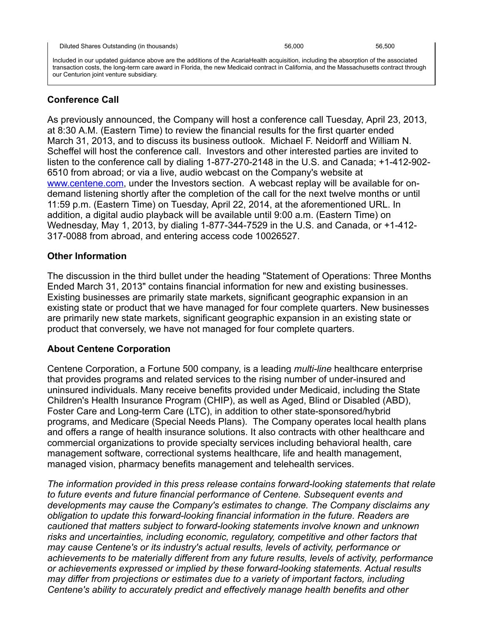Included in our updated guidance above are the additions of the AcariaHealth acquisition, including the absorption of the associated transaction costs, the long-term care award in Florida, the new Medicaid contract in California, and the Massachusetts contract through our Centurion joint venture subsidiary.

# **Conference Call**

As previously announced, the Company will host a conference call Tuesday, April 23, 2013, at 8:30 A.M. (Eastern Time) to review the financial results for the first quarter ended March 31, 2013, and to discuss its business outlook. Michael F. Neidorff and William N. Scheffel will host the conference call. Investors and other interested parties are invited to listen to the conference call by dialing 1-877-270-2148 in the U.S. and Canada; +1-412-902- 6510 from abroad; or via a live, audio webcast on the Company's website at [www.centene.com,](http://www.centene.com/) under the Investors section. A webcast replay will be available for ondemand listening shortly after the completion of the call for the next twelve months or until 11:59 p.m. (Eastern Time) on Tuesday, April 22, 2014, at the aforementioned URL. In addition, a digital audio playback will be available until 9:00 a.m. (Eastern Time) on Wednesday, May 1, 2013, by dialing 1-877-344-7529 in the U.S. and Canada, or +1-412- 317-0088 from abroad, and entering access code 10026527.

## **Other Information**

The discussion in the third bullet under the heading "Statement of Operations: Three Months Ended March 31, 2013" contains financial information for new and existing businesses. Existing businesses are primarily state markets, significant geographic expansion in an existing state or product that we have managed for four complete quarters. New businesses are primarily new state markets, significant geographic expansion in an existing state or product that conversely, we have not managed for four complete quarters.

## **About Centene Corporation**

Centene Corporation, a Fortune 500 company, is a leading *multi-line* healthcare enterprise that provides programs and related services to the rising number of under-insured and uninsured individuals. Many receive benefits provided under Medicaid, including the State Children's Health Insurance Program (CHIP), as well as Aged, Blind or Disabled (ABD), Foster Care and Long-term Care (LTC), in addition to other state-sponsored/hybrid programs, and Medicare (Special Needs Plans). The Company operates local health plans and offers a range of health insurance solutions. It also contracts with other healthcare and commercial organizations to provide specialty services including behavioral health, care management software, correctional systems healthcare, life and health management, managed vision, pharmacy benefits management and telehealth services.

*The information provided in this press release contains forward-looking statements that relate to future events and future financial performance of Centene. Subsequent events and developments may cause the Company's estimates to change. The Company disclaims any obligation to update this forward-looking financial information in the future. Readers are cautioned that matters subject to forward-looking statements involve known and unknown risks and uncertainties, including economic, regulatory, competitive and other factors that may cause Centene's or its industry's actual results, levels of activity, performance or achievements to be materially different from any future results, levels of activity, performance or achievements expressed or implied by these forward-looking statements. Actual results may differ from projections or estimates due to a variety of important factors, including Centene's ability to accurately predict and effectively manage health benefits and other*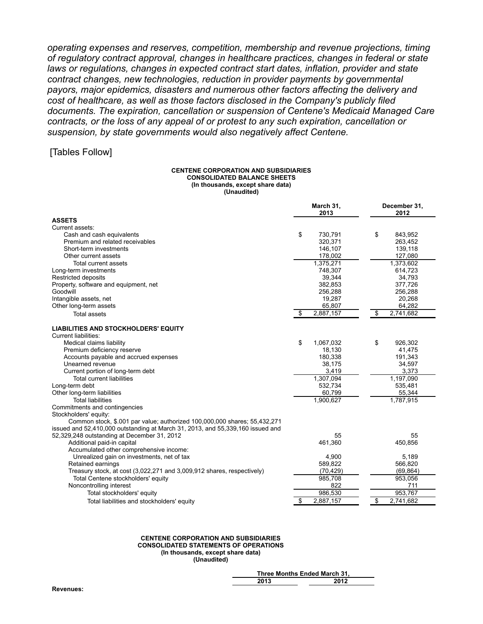*operating expenses and reserves, competition, membership and revenue projections, timing of regulatory contract approval, changes in healthcare practices, changes in federal or state laws or regulations, changes in expected contract start dates, inflation, provider and state contract changes, new technologies, reduction in provider payments by governmental payors, major epidemics, disasters and numerous other factors affecting the delivery and cost of healthcare, as well as those factors disclosed in the Company's publicly filed documents. The expiration, cancellation or suspension of Centene's Medicaid Managed Care contracts, or the loss of any appeal of or protest to any such expiration, cancellation or suspension, by state governments would also negatively affect Centene.*

## [Tables Follow]

#### **CENTENE CORPORATION AND SUBSIDIARIES CONSOLIDATED BALANCE SHEETS (In thousands, except share data) (Unaudited)**

|                                                                                                                                                             | March 31,<br>2013 | December 31,<br>2012 |
|-------------------------------------------------------------------------------------------------------------------------------------------------------------|-------------------|----------------------|
| <b>ASSETS</b>                                                                                                                                               |                   |                      |
| Current assets:                                                                                                                                             |                   |                      |
| Cash and cash equivalents                                                                                                                                   | \$<br>730,791     | \$<br>843,952        |
| Premium and related receivables                                                                                                                             | 320,371           | 263,452              |
| Short-term investments                                                                                                                                      | 146,107           | 139,118              |
| Other current assets                                                                                                                                        | 178,002           | 127,080              |
| Total current assets                                                                                                                                        | 1,375,271         | 1,373,602            |
| Long-term investments                                                                                                                                       | 748,307           | 614,723              |
| <b>Restricted deposits</b>                                                                                                                                  | 39,344            | 34,793               |
| Property, software and equipment, net                                                                                                                       | 382,853           | 377,726              |
| Goodwill                                                                                                                                                    | 256,288           | 256,288              |
| Intangible assets, net                                                                                                                                      | 19,287            | 20,268               |
| Other long-term assets                                                                                                                                      | 65,807            | 64,282               |
| Total assets                                                                                                                                                | \$<br>2,887,157   | \$<br>2,741,682      |
| <b>LIABILITIES AND STOCKHOLDERS' EQUITY</b><br><b>Current liabilities:</b>                                                                                  |                   |                      |
| Medical claims liability                                                                                                                                    | \$<br>1,067,032   | \$<br>926,302        |
| Premium deficiency reserve                                                                                                                                  | 18,130            | 41,475               |
| Accounts payable and accrued expenses                                                                                                                       | 180,338           | 191,343              |
| Unearned revenue                                                                                                                                            | 38,175            | 34,597               |
| Current portion of long-term debt                                                                                                                           | 3,419             | 3,373                |
| <b>Total current liabilities</b>                                                                                                                            | 1,307,094         | 1,197,090            |
| Long-term debt                                                                                                                                              | 532,734           | 535,481              |
| Other long-term liabilities                                                                                                                                 | 60,799            | 55,344               |
| <b>Total liabilities</b>                                                                                                                                    | 1,900,627         | 1,787,915            |
| Commitments and contingencies                                                                                                                               |                   |                      |
| Stockholders' equity:                                                                                                                                       |                   |                      |
| Common stock, \$.001 par value; authorized 100,000,000 shares; 55,432,271<br>issued and 52,410,000 outstanding at March 31, 2013, and 55,339,160 issued and |                   |                      |
| 52,329,248 outstanding at December 31, 2012                                                                                                                 | 55                | 55                   |
| Additional paid-in capital                                                                                                                                  | 461,360           | 450,856              |
| Accumulated other comprehensive income:                                                                                                                     |                   |                      |
| Unrealized gain on investments, net of tax                                                                                                                  | 4,900             | 5,189                |
| Retained earnings                                                                                                                                           | 589,822           | 566,820              |
| Treasury stock, at cost (3,022,271 and 3,009,912 shares, respectively)                                                                                      | (70, 429)         | (69, 864)            |
| Total Centene stockholders' equity                                                                                                                          | 985,708           | 953,056              |
| Noncontrolling interest                                                                                                                                     | 822               | 711                  |
| Total stockholders' equity                                                                                                                                  | 986,530           | 953,767              |
| Total liabilities and stockholders' equity                                                                                                                  | \$<br>2,887,157   | \$<br>2,741,682      |

#### **CENTENE CORPORATION AND SUBSIDIARIES CONSOLIDATED STATEMENTS OF OPERATIONS (In thousands, except share data) (Unaudited)**

|      | Three Months Ended March 31, |
|------|------------------------------|
| 2013 | 2012                         |

| Revenues: |
|-----------|
|-----------|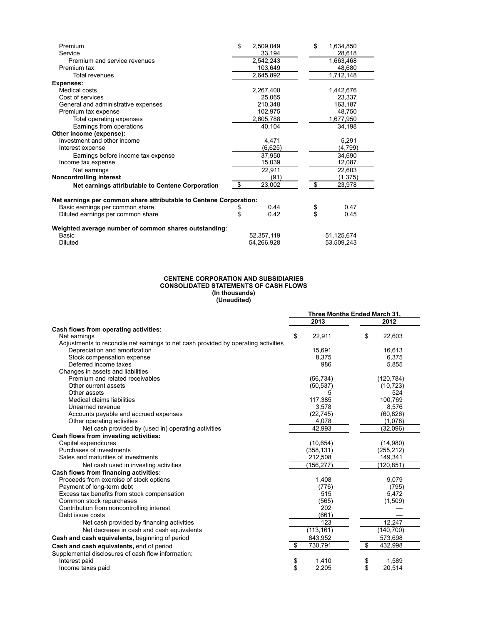| Premium                                                            | \$  | 2,509,049  | \$<br>1,634,850 |  |
|--------------------------------------------------------------------|-----|------------|-----------------|--|
| Service                                                            |     | 33,194     | 28,618          |  |
| Premium and service revenues                                       |     | 2,542,243  | 1,663,468       |  |
| Premium tax                                                        |     | 103,649    | 48,680          |  |
| Total revenues                                                     |     | 2,645,892  | 1,712,148       |  |
| Expenses:                                                          |     |            |                 |  |
| Medical costs                                                      |     | 2,267,400  | 1,442,676       |  |
| Cost of services                                                   |     | 25.065     | 23,337          |  |
| General and administrative expenses                                |     | 210,348    | 163,187         |  |
| Premium tax expense                                                |     | 102,975    | 48,750          |  |
| Total operating expenses                                           |     | 2,605,788  | 1,677,950       |  |
| Earnings from operations                                           |     | 40,104     | 34,198          |  |
| Other income (expense):                                            |     |            |                 |  |
| Investment and other income                                        |     | 4,471      | 5,291           |  |
| Interest expense                                                   |     | (6,625)    | (4,799)         |  |
| Earnings before income tax expense                                 |     | 37,950     | 34,690          |  |
| Income tax expense                                                 |     | 15,039     | 12,087          |  |
| Net earnings                                                       |     | 22,911     | 22,603          |  |
| <b>Noncontrolling interest</b>                                     |     | (91)       | (1, 375)        |  |
| Net earnings attributable to Centene Corporation                   | \$. | 23,002     | \$<br>23,978    |  |
| Net earnings per common share attributable to Centene Corporation: |     |            |                 |  |
| Basic earnings per common share                                    | \$  | 0.44       | \$<br>0.47      |  |
| Diluted earnings per common share                                  | \$  | 0.42       | \$<br>0.45      |  |
| Weighted average number of common shares outstanding:              |     |            |                 |  |
| Basic                                                              |     | 52,357,119 | 51,125,674      |  |
| Diluted                                                            |     | 54,266,928 | 53,509,243      |  |

#### **CENTENE CORPORATION AND SUBSIDIARIES CONSOLIDATED STATEMENTS OF CASH FLOWS (In thousands) (Unaudited)**

|                                                                                    | Three Months Ended March 31, |            |    |            |
|------------------------------------------------------------------------------------|------------------------------|------------|----|------------|
|                                                                                    |                              | 2013       |    | 2012       |
| Cash flows from operating activities:                                              |                              |            |    |            |
| Net earnings                                                                       | \$                           | 22,911     | \$ | 22,603     |
| Adjustments to reconcile net earnings to net cash provided by operating activities |                              |            |    |            |
| Depreciation and amortization                                                      |                              | 15,691     |    | 16,613     |
| Stock compensation expense                                                         |                              | 8.375      |    | 6,375      |
| Deferred income taxes                                                              |                              | 986        |    | 5,855      |
| Changes in assets and liabilities                                                  |                              |            |    |            |
| Premium and related receivables                                                    |                              | (56, 734)  |    | (120, 784) |
| Other current assets                                                               |                              | (50, 537)  |    | (10, 723)  |
| Other assets                                                                       |                              |            |    | 524        |
| Medical claims liabilities                                                         |                              | 117,385    |    | 100.769    |
| Unearned revenue                                                                   |                              | 3,578      |    | 8,576      |
| Accounts payable and accrued expenses                                              |                              | (22, 745)  |    | (60, 826)  |
| Other operating activities                                                         |                              | 4,078      |    | (1,078)    |
| Net cash provided by (used in) operating activities                                |                              | 42.993     |    | (32,096)   |
| Cash flows from investing activities:                                              |                              |            |    |            |
| Capital expenditures                                                               |                              | (10, 654)  |    | (14,980)   |
| Purchases of investments                                                           |                              | (358, 131) |    | (255, 212) |
| Sales and maturities of investments                                                |                              | 212,508    |    | 149,341    |
| Net cash used in investing activities                                              |                              | (156, 277) |    | (120, 851) |
| Cash flows from financing activities:                                              |                              |            |    |            |
| Proceeds from exercise of stock options                                            |                              | 1,408      |    | 9,079      |
| Payment of long-term debt                                                          |                              | (776)      |    | (795)      |
| Excess tax benefits from stock compensation                                        |                              | 515        |    | 5,472      |
| Common stock repurchases                                                           |                              | (565)      |    | (1,509)    |
| Contribution from noncontrolling interest                                          |                              | 202        |    |            |
| Debt issue costs                                                                   |                              | (661)      |    |            |
| Net cash provided by financing activities                                          |                              | 123        |    | 12,247     |
| Net decrease in cash and cash equivalents                                          |                              | (113, 161) |    | (140, 700) |
| Cash and cash equivalents, beginning of period                                     |                              | 843,952    |    | 573,698    |
| Cash and cash equivalents, end of period                                           | \$                           | 730,791    | \$ | 432,998    |
| Supplemental disclosures of cash flow information:                                 |                              |            |    |            |
| Interest paid                                                                      | \$                           | 1,410      | \$ | 1,589      |
| Income taxes paid                                                                  | \$                           | 2,205      | \$ | 20,514     |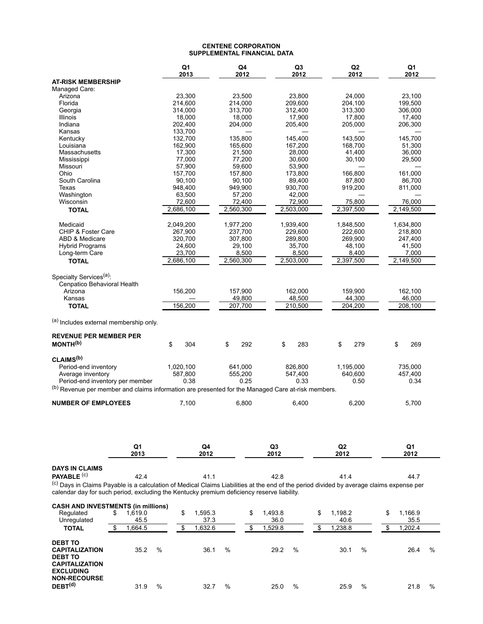#### **CENTENE CORPORATION SUPPLEMENTAL FINANCIAL DATA**

|                                                                                                                                          | Q1<br>2013         | Q4<br>2012 | Q <sub>3</sub><br>2012 | Q2<br>2012 | Q <sub>1</sub><br>2012 |
|------------------------------------------------------------------------------------------------------------------------------------------|--------------------|------------|------------------------|------------|------------------------|
| <b>AT-RISK MEMBERSHIP</b>                                                                                                                |                    |            |                        |            |                        |
| Managed Care:                                                                                                                            |                    |            |                        |            |                        |
| Arizona                                                                                                                                  | 23,300             | 23,500     | 23,800                 | 24,000     | 23,100                 |
| Florida                                                                                                                                  | 214,600            | 214,000    | 209,600                | 204,100    | 199,500                |
| Georgia                                                                                                                                  | 314.000            | 313,700    | 312,400                | 313,300    | 306,000                |
| Illinois                                                                                                                                 | 18,000             | 18,000     | 17,900                 | 17,800     | 17,400                 |
| Indiana                                                                                                                                  | 202,400            | 204,000    | 205,400                | 205,000    | 206,300                |
| Kansas<br>Kentucky                                                                                                                       | 133,700<br>132,700 | 135,800    | 145,400                | 143,500    | 145,700                |
| Louisiana                                                                                                                                | 162,900            | 165,600    | 167,200                | 168,700    | 51,300                 |
| Massachusetts                                                                                                                            | 17,300             | 21,500     | 28,000                 | 41,400     | 36,000                 |
| Mississippi                                                                                                                              | 77,000             | 77,200     | 30,600                 | 30,100     | 29,500                 |
| Missouri                                                                                                                                 | 57,900             | 59,600     | 53,900                 |            |                        |
| Ohio                                                                                                                                     | 157,700            | 157,800    | 173,800                | 166,800    | 161.000                |
| South Carolina                                                                                                                           | 90,100             | 90,100     | 89,400                 | 87,800     | 86,700                 |
| Texas                                                                                                                                    | 948,400            | 949,900    | 930,700                | 919,200    | 811,000                |
| Washington                                                                                                                               | 63,500             | 57,200     | 42,000                 |            |                        |
| Wisconsin                                                                                                                                | 72,600             | 72,400     | 72,900                 | 75,800     | 76,000                 |
| <b>TOTAL</b>                                                                                                                             | 2,686,100          | 2,560,300  | 2,503,000              | 2,397,500  | 2,149,500              |
| Medicaid                                                                                                                                 | 2,049,200          | 1,977,200  | 1,939,400              | 1,848,500  | 1,634,800              |
| CHIP & Foster Care                                                                                                                       | 267,900            | 237,700    | 229,600                | 222,600    | 218,800                |
| ABD & Medicare                                                                                                                           | 320,700            | 307,800    | 289,800                | 269,900    | 247,400                |
| <b>Hybrid Programs</b>                                                                                                                   | 24,600             | 29,100     | 35,700                 | 48,100     | 41,500                 |
| Long-term Care                                                                                                                           | 23,700             | 8,500      | 8,500                  | 8,400      | 7,000                  |
| <b>TOTAL</b>                                                                                                                             | 2,686,100          | 2,560,300  | 2,503,000              | 2,397,500  | 2,149,500              |
| Specialty Services <sup>(a)</sup> :                                                                                                      |                    |            |                        |            |                        |
| Cenpatico Behavioral Health                                                                                                              |                    |            |                        |            |                        |
| Arizona                                                                                                                                  | 156,200            | 157,900    | 162,000                | 159,900    | 162,100                |
| Kansas                                                                                                                                   |                    | 49,800     | 48,500                 | 44,300     | 46,000                 |
| <b>TOTAL</b>                                                                                                                             | 156,200            | 207,700    | 210,500                | 204,200    | 208,100                |
| (a) Includes external membership only.                                                                                                   |                    |            |                        |            |                        |
| <b>REVENUE PER MEMBER PER</b>                                                                                                            |                    |            |                        |            |                        |
| MONTH <sup>(b)</sup>                                                                                                                     | \$<br>304          | \$<br>292  | \$<br>283              | \$<br>279  | \$<br>269              |
| CLAIMS <sup>(b)</sup>                                                                                                                    |                    |            |                        |            |                        |
| Period-end inventory                                                                                                                     | 1,020,100          | 641,000    | 826,800                | 1,195,000  | 735,000                |
| Average inventory                                                                                                                        | 587,800            | 555,200    | 547,400                | 640.600    | 457,400                |
| Period-end inventory per member                                                                                                          | 0.38               | 0.25       | 0.33                   | 0.50       | 0.34                   |
| (b) Revenue per member and claims information are presented for the Managed Care at-risk members.                                        |                    |            |                        |            |                        |
| <b>NUMBER OF EMPLOYEES</b>                                                                                                               | 7,100              | 6,800      | 6,400                  | 6,200      | 5,700                  |
|                                                                                                                                          |                    |            |                        |            |                        |
|                                                                                                                                          |                    |            |                        |            |                        |
| Q1<br>2013                                                                                                                               | Q4<br>2012         |            | Q3<br>2012             | Q2<br>2012 | Q1<br>2012             |
|                                                                                                                                          |                    |            |                        |            |                        |
| <b>DAYS IN CLAIMS</b>                                                                                                                    |                    |            |                        |            |                        |
| <b>PAYABLE</b> $(C)$<br>42.4                                                                                                             | 41.1               |            | 42.8                   | 41.4       | 44.7                   |
| (c) Days in Claims Payable is a calculation of Medical Claims Liabilities at the end of the period divided by average claims expense per |                    |            |                        |            |                        |
| calendar day for such period, excluding the Kentucky premium deficiency reserve liability.                                               |                    |            |                        |            |                        |
| <b>CASH AND INVESTMENTS (in millions)</b>                                                                                                |                    |            |                        |            |                        |
| Regulated<br>\$<br>1.619.0                                                                                                               | \$<br>1,595.3      | \$         | 1,493.8<br>\$          | 1,198.2    | \$<br>1,166.9          |
| 45.5<br>Unregulated                                                                                                                      | 37.3               |            | 36.0                   | 40.6       | 35.5                   |
| 1,664.5<br>\$<br><b>TOTAL</b>                                                                                                            | \$<br>1,632.6      | \$         | 1,529.8<br>\$          | 1,238.8    | 1,202.4<br>\$          |
| <b>DEBT TO</b>                                                                                                                           |                    |            |                        |            |                        |

| <b>CAPITALIZATION</b><br><b>DEBT TO</b><br><b>CAPITALIZATION</b><br><b>EXCLUDING</b><br><b>NON-RECOURSE</b> | 35.2 | % | 36.1 | % | 29.2 | % | 30.1 | % | 26.4 | % |
|-------------------------------------------------------------------------------------------------------------|------|---|------|---|------|---|------|---|------|---|
| DEBT <sup>(d)</sup>                                                                                         | 31.9 | % | 32.7 | % | 25.0 | % | 25.9 | % | 21.8 | % |